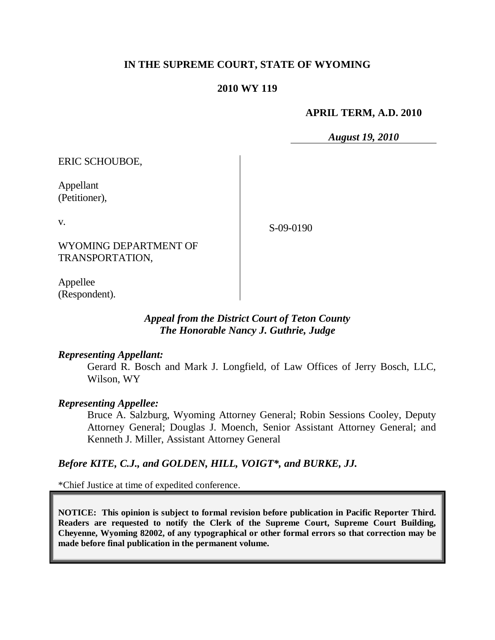# **IN THE SUPREME COURT, STATE OF WYOMING**

#### **2010 WY 119**

#### **APRIL TERM, A.D. 2010**

*August 19, 2010*

ERIC SCHOUBOE,

Appellant (Petitioner),

v.

S-09-0190

WYOMING DEPARTMENT OF TRANSPORTATION,

Appellee (Respondent).

# *Appeal from the District Court of Teton County The Honorable Nancy J. Guthrie, Judge*

#### *Representing Appellant:*

Gerard R. Bosch and Mark J. Longfield, of Law Offices of Jerry Bosch, LLC, Wilson, WY

#### *Representing Appellee:*

Bruce A. Salzburg, Wyoming Attorney General; Robin Sessions Cooley, Deputy Attorney General; Douglas J. Moench, Senior Assistant Attorney General; and Kenneth J. Miller, Assistant Attorney General

## *Before KITE, C.J., and GOLDEN, HILL, VOIGT\*, and BURKE, JJ.*

\*Chief Justice at time of expedited conference.

**NOTICE: This opinion is subject to formal revision before publication in Pacific Reporter Third. Readers are requested to notify the Clerk of the Supreme Court, Supreme Court Building, Cheyenne, Wyoming 82002, of any typographical or other formal errors so that correction may be made before final publication in the permanent volume.**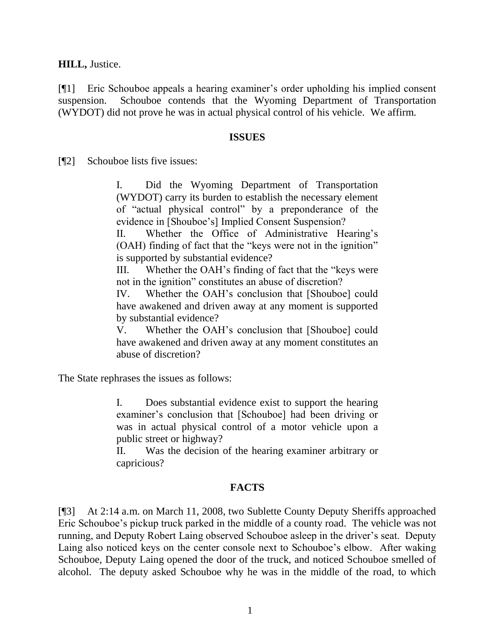**HILL,** Justice.

[¶1] Eric Schouboe appeals a hearing examiner"s order upholding his implied consent suspension. Schouboe contends that the Wyoming Department of Transportation (WYDOT) did not prove he was in actual physical control of his vehicle. We affirm.

#### **ISSUES**

[¶2] Schouboe lists five issues:

I. Did the Wyoming Department of Transportation (WYDOT) carry its burden to establish the necessary element of "actual physical control" by a preponderance of the evidence in [Shouboe"s] Implied Consent Suspension?

II. Whether the Office of Administrative Hearing"s (OAH) finding of fact that the "keys were not in the ignition" is supported by substantial evidence?

III. Whether the OAH"s finding of fact that the "keys were not in the ignition" constitutes an abuse of discretion?

IV. Whether the OAH"s conclusion that [Shouboe] could have awakened and driven away at any moment is supported by substantial evidence?

V. Whether the OAH"s conclusion that [Shouboe] could have awakened and driven away at any moment constitutes an abuse of discretion?

The State rephrases the issues as follows:

I. Does substantial evidence exist to support the hearing examiner's conclusion that [Schouboe] had been driving or was in actual physical control of a motor vehicle upon a public street or highway?

II. Was the decision of the hearing examiner arbitrary or capricious?

## **FACTS**

[¶3] At 2:14 a.m. on March 11, 2008, two Sublette County Deputy Sheriffs approached Eric Schouboe"s pickup truck parked in the middle of a county road. The vehicle was not running, and Deputy Robert Laing observed Schouboe asleep in the driver"s seat. Deputy Laing also noticed keys on the center console next to Schouboe"s elbow. After waking Schouboe, Deputy Laing opened the door of the truck, and noticed Schouboe smelled of alcohol. The deputy asked Schouboe why he was in the middle of the road, to which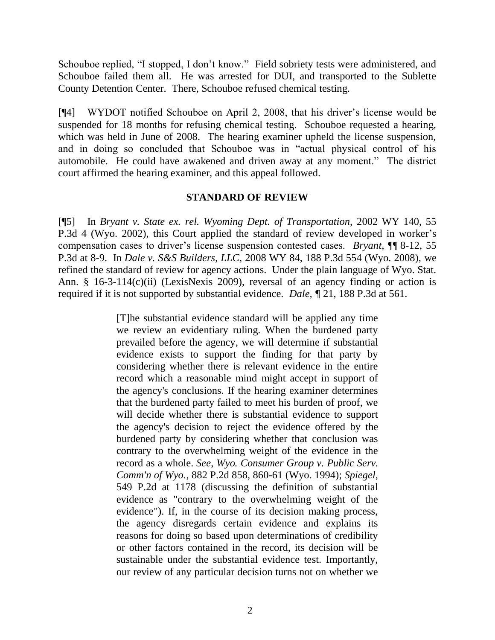Schouboe replied, "I stopped, I don't know." Field sobriety tests were administered, and Schouboe failed them all. He was arrested for DUI, and transported to the Sublette County Detention Center. There, Schouboe refused chemical testing.

[¶4] WYDOT notified Schouboe on April 2, 2008, that his driver"s license would be suspended for 18 months for refusing chemical testing. Schouboe requested a hearing, which was held in June of 2008. The hearing examiner upheld the license suspension, and in doing so concluded that Schouboe was in "actual physical control of his automobile. He could have awakened and driven away at any moment." The district court affirmed the hearing examiner, and this appeal followed.

## **STANDARD OF REVIEW**

[¶5] In *Bryant v. State ex. rel. Wyoming Dept. of Transportation,* 2002 WY 140, 55 P.3d 4 (Wyo. 2002), this Court applied the standard of review developed in worker's compensation cases to driver"s license suspension contested cases. *Bryant,* ¶¶ 8-12, 55 P.3d at 8-9. In *Dale v. S&S Builders, LLC,* 2008 WY 84, 188 P.3d 554 (Wyo. 2008), we refined the standard of review for agency actions. Under the plain language of Wyo. Stat. Ann. § 16-3-114(c)(ii) (LexisNexis 2009), reversal of an agency finding or action is required if it is not supported by substantial evidence. *Dale, ¶* 21, 188 P.3d at 561.

> [T]he substantial evidence standard will be applied any time we review an evidentiary ruling. When the burdened party prevailed before the agency, we will determine if substantial evidence exists to support the finding for that party by considering whether there is relevant evidence in the entire record which a reasonable mind might accept in support of the agency's conclusions. If the hearing examiner determines that the burdened party failed to meet his burden of proof, we will decide whether there is substantial evidence to support the agency's decision to reject the evidence offered by the burdened party by considering whether that conclusion was contrary to the overwhelming weight of the evidence in the record as a whole. *See*, *Wyo. Consumer Group v. Public Serv. Comm'n of Wyo.*, 882 P.2d 858, 860-61 (Wyo. 1994); *Spiegel*, 549 P.2d at 1178 (discussing the definition of substantial evidence as "contrary to the overwhelming weight of the evidence"). If, in the course of its decision making process, the agency disregards certain evidence and explains its reasons for doing so based upon determinations of credibility or other factors contained in the record, its decision will be sustainable under the substantial evidence test. Importantly, our review of any particular decision turns not on whether we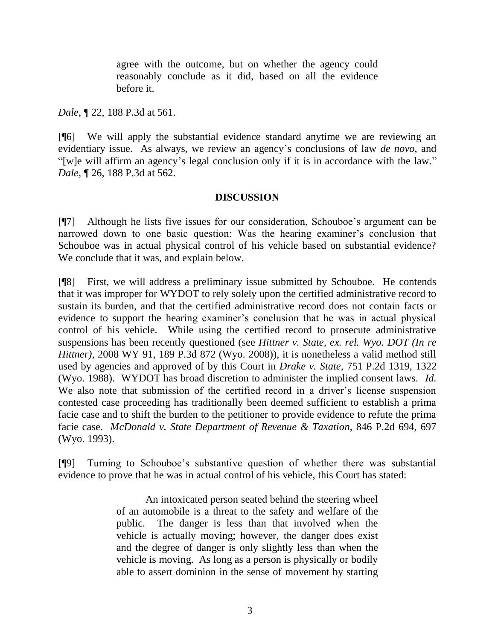agree with the outcome, but on whether the agency could reasonably conclude as it did, based on all the evidence before it.

*Dale*, ¶ 22, 188 P.3d at 561.

[¶6] We will apply the substantial evidence standard anytime we are reviewing an evidentiary issue. As always, we review an agency"s conclusions of law *de novo*, and "[w]e will affirm an agency"s legal conclusion only if it is in accordance with the law." *Dale*, ¶ 26, 188 P.3d at 562.

## **DISCUSSION**

[¶7] Although he lists five issues for our consideration, Schouboe"s argument can be narrowed down to one basic question: Was the hearing examiner's conclusion that Schouboe was in actual physical control of his vehicle based on substantial evidence? We conclude that it was, and explain below.

[¶8] First, we will address a preliminary issue submitted by Schouboe. He contends that it was improper for WYDOT to rely solely upon the certified administrative record to sustain its burden, and that the certified administrative record does not contain facts or evidence to support the hearing examiner's conclusion that he was in actual physical control of his vehicle. While using the certified record to prosecute administrative suspensions has been recently questioned (see *Hittner v. State, ex. rel. Wyo. DOT (In re Hittner)*, 2008 WY 91, 189 P.3d 872 (Wyo. 2008))*,* it is nonetheless a valid method still used by agencies and approved of by this Court in *Drake v. State*, 751 P.2d 1319, 1322 (Wyo. 1988). WYDOT has broad discretion to administer the implied consent laws. *Id.*  We also note that submission of the certified record in a driver's license suspension contested case proceeding has traditionally been deemed sufficient to establish a prima facie case and to shift the burden to the petitioner to provide evidence to refute the prima facie case. *McDonald v. State Department of Revenue & Taxation,* 846 P.2d 694, 697 (Wyo. 1993).

[¶9] Turning to Schouboe"s substantive question of whether there was substantial evidence to prove that he was in actual control of his vehicle, this Court has stated:

> An intoxicated person seated behind the steering wheel of an automobile is a threat to the safety and welfare of the public. The danger is less than that involved when the vehicle is actually moving; however, the danger does exist and the degree of danger is only slightly less than when the vehicle is moving. As long as a person is physically or bodily able to assert dominion in the sense of movement by starting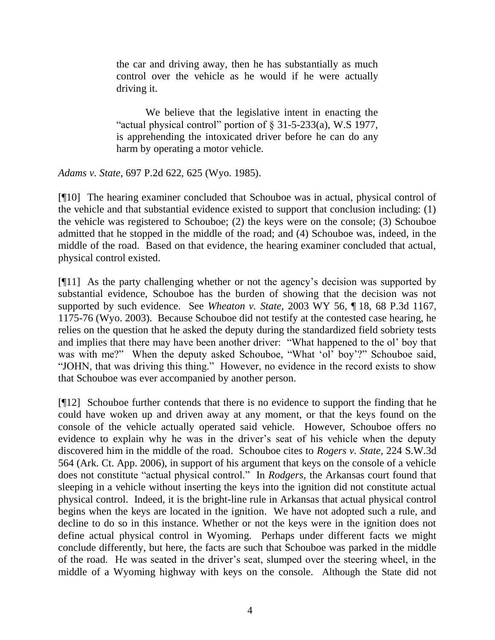the car and driving away, then he has substantially as much control over the vehicle as he would if he were actually driving it.

We believe that the legislative intent in enacting the "actual physical control" portion of § 31-5-233(a), W.S 1977, is apprehending the intoxicated driver before he can do any harm by operating a motor vehicle.

*Adams v. State*, 697 P.2d 622, 625 (Wyo. 1985).

[¶10] The hearing examiner concluded that Schouboe was in actual, physical control of the vehicle and that substantial evidence existed to support that conclusion including: (1) the vehicle was registered to Schouboe; (2) the keys were on the console; (3) Schouboe admitted that he stopped in the middle of the road; and (4) Schouboe was, indeed, in the middle of the road. Based on that evidence, the hearing examiner concluded that actual, physical control existed.

[¶11] As the party challenging whether or not the agency"s decision was supported by substantial evidence, Schouboe has the burden of showing that the decision was not supported by such evidence. See *Wheaton v. State,* 2003 WY 56*,* ¶ 18, 68 P.3d 1167, 1175-76 (Wyo. 2003). Because Schouboe did not testify at the contested case hearing, he relies on the question that he asked the deputy during the standardized field sobriety tests and implies that there may have been another driver: "What happened to the ol" boy that was with me?" When the deputy asked Schouboe, "What 'ol' boy'?" Schouboe said, "JOHN, that was driving this thing." However, no evidence in the record exists to show that Schouboe was ever accompanied by another person.

[¶12] Schouboe further contends that there is no evidence to support the finding that he could have woken up and driven away at any moment, or that the keys found on the console of the vehicle actually operated said vehicle. However, Schouboe offers no evidence to explain why he was in the driver's seat of his vehicle when the deputy discovered him in the middle of the road. Schouboe cites to *Rogers v. State,* 224 S.W.3d 564 (Ark. Ct. App. 2006), in support of his argument that keys on the console of a vehicle does not constitute "actual physical control." In *Rodgers,* the Arkansas court found that sleeping in a vehicle without inserting the keys into the ignition did not constitute actual physical control. Indeed, it is the bright-line rule in Arkansas that actual physical control begins when the keys are located in the ignition. We have not adopted such a rule, and decline to do so in this instance. Whether or not the keys were in the ignition does not define actual physical control in Wyoming. Perhaps under different facts we might conclude differently, but here, the facts are such that Schouboe was parked in the middle of the road. He was seated in the driver"s seat, slumped over the steering wheel, in the middle of a Wyoming highway with keys on the console. Although the State did not